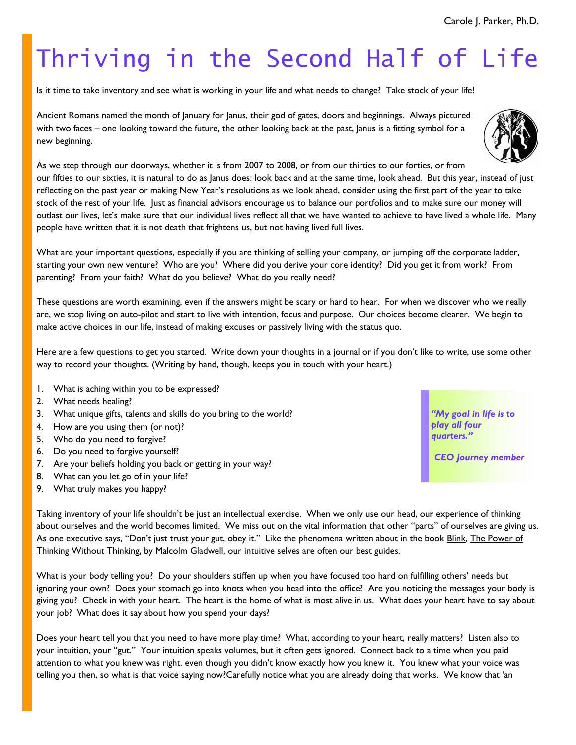## Thriving in the Second Half of Life

Is it time to take inventory and see what is working in your life and what needs to change? Take stock of your life!

Ancient Romans named the month of January for Janus, their god of gates, doors and beginnings. Always pictured with two faces – one looking toward the future, the other looking back at the past, Janus is a fitting symbol for a new beginning.

As we step through our doorways, whether it is from 2007 to 2008, or from our thirties to our forties, or from our fifties to our sixties, it is natural to do as Janus does: look back and at the same time, look ahead. But this year, instead of just reflecting on the past year or making New Year's resolutions as we look ahead, consider using the first part of the year to take stock of the rest of your life. Just as financial advisors encourage us to balance our portfolios and to make sure our money will outlast our lives, let's make sure that our individual lives reflect all that we have wanted to achieve to have lived a whole life. Many people have written that it is not death that frightens us, but not having lived full lives.

What are your important questions, especially if you are thinking of selling your company, or jumping off the corporate ladder, starting your own new venture? Who are you? Where did you derive your core identity? Did you get it from work? From parenting? From your faith? What do you believe? What do you really need?

These questions are worth examining, even if the answers might be scary or hard to hear. For when we discover who we really are, we stop living on auto-pilot and start to live with intention, focus and purpose. Our choices become clearer. We begin to make active choices in our life, instead of making excuses or passively living with the status quo.

Here are a few questions to get you started. Write down your thoughts in a journal or if you don't like to write, use some other way to record your thoughts. (Writing by hand, though, keeps you in touch with your heart.)

- 1. What is aching within you to be expressed?
- 2. What needs healing?
- 3. What unique gifts, talents and skills do you bring to the world?
- 4. How are you using them (or not)?
- 5. Who do you need to forgive?
- 6. Do you need to forgive yourself?
- 7. Are your beliefs holding you back or getting in your way?
- 8. What can you let go of in your life?
- 9. What truly makes you happy?

*"My goal in life is to play all four quarters."* 

*CEO Journey member*

Taking inventory of your life shouldn't be just an intellectual exercise. When we only use our head, our experience of thinking about ourselves and the world becomes limited. We miss out on the vital information that other "parts" of ourselves are giving us. As one executive says, "Don't just trust your gut, obey it." Like the phenomena written about in the book **Blink, The Power of** Thinking Without Thinking, by Malcolm Gladwell, our intuitive selves are often our best guides.

What is your body telling you? Do your shoulders stiffen up when you have focused too hard on fulfilling others' needs but ignoring your own? Does your stomach go into knots when you head into the office? Are you noticing the messages your body is giving you? Check in with your heart. The heart is the home of what is most alive in us. What does your heart have to say about your job? What does it say about how you spend your days?

Does your heart tell you that you need to have more play time? What, according to your heart, really matters? Listen also to your intuition, your "gut." Your intuition speaks volumes, but it often gets ignored. Connect back to a time when you paid attention to what you knew was right, even though you didn't know exactly how you knew it. You knew what your voice was telling you then, so what is that voice saying now?Carefully notice what you are already doing that works. We know that 'an